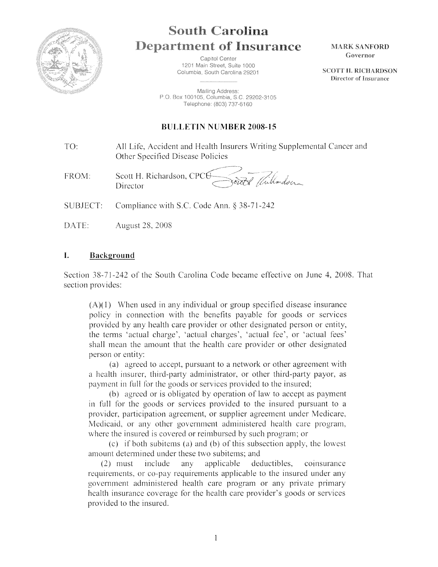

# **South Carolina Department of Insurance**

Capitol Center 1201 Main Street, Suite 1000 Columbia, South Carolina 29201

Mailing Address: P.O. Box 100105, Columbia, S.C. 29202-3105 Telephone: (803) 737-6160

# **BULLETIN NUMBER 2008-15**

TO: All Life, Accident and Health Insurers Writing Supplemental Cancer and Other Specified Disease Policies

outt Willardson FROM: Scott H. Richardson, CPCH Director

SUBJECT: Compliance with S.C. Code Ann.  $§$  38-71-242

DATE: August 28. 2008

### **I. Background**

Section 38-71-242 of the South Carolina Code became effective on June 4, 2008. That section provides:

 $(A)(1)$  When used in any individual or group specified disease insurance policy in connection with the benefits payable for goods or services provided by any health care provider or other designated person or entity, the terms 'actual charge', 'actual charges', 'actual fee', or 'actual fees' shall mean the amount that the health care provider or other designated person or entity:

(a) agreed to accept, pursuant to a network or other agreement with a health insurer, third-party administrator. or other third-party payor, as payment in full for the goods or services provided to the insured;

(b) agreed or is obligated by operation of law to accept as payment in full for the goods or services provided to the insured pursuant to a provider, participation agreement, or supplier agreement under Medicare, Medicaid, or any other government administered health care program, where the insured is covered or reimbursed by such program; or

(c) if both subitems (a) and (b) of this subsection apply, the lowest amount determined under these two subitems; and

 $(2)$  must include any applicable deductibles, coinsurance requirements, or co-pay requirements applicable to the insured under any government administered health care program or any private primary health insurance coverage for the health care provider's goods or services provided to the insured.

 $\mathbf{I}$ 

**MARK SANFORD** Governor

**SCOTT II. RICHARDSON** Director of Insurance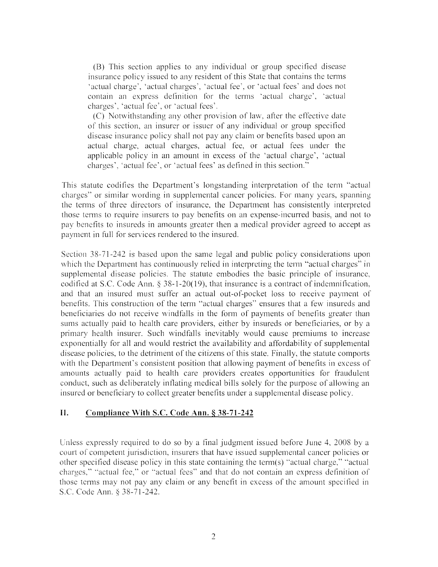(B) This section applies to any individual or group specified disease msurance policy issued to any resident of this State that contains the terms 'actual charge', 'actual charges', 'actual fee', or 'actual fees' and does not contain an express definition for the terms 'actual charge', 'actual charges', 'actual fee', or 'actual fees'.

(C) Notwithstanding any other provision of law, after the eflective date of this section, an insurer or issuer of any individual or group specified disease insurance policy shall not pay any claim or benefits based upon an actual charge, actual charges, actual fee, or actual fees under the applicable policy in an amount in excess of the 'actual charge', 'actual charges', 'actual fee', or 'actual fees' as defined in this section.''

This statute codifies the Department's longstanding interpretation of the term "actual charges" or similar wording in supplemental cancer policies. For many years, spanning the terms of three directors of insurance, the Depanment has consistently interpreted those terms to require insurers to pay benefits on an expense-incurred basis, and not to pay benefits to insureds in amounts greater then a medical provider agreed to accept as payment in full for services rendered to the insured.

Section 38-71-242 is based upon the same legal and public policy considerations upon which the Department has continuously relied in interpreting the term "actual charges" in supplemental disease policies. The statute embodies the basic principle of insurance, codified at S.C. Code Ann. § 38-1-20(19), that insurance is a contract of indemnification, and that an insured must suffer an actual out-of-pocket loss to receive payment of benefits. This construction of the term "actual charges" ensures that a few insureds and beneficiaries do not receive windfalls in the fonn of payments of benefits greater than sums actually paid to health care providers, either by insureds or beneficiaries, or by a primary health insurer. Such windfalls inevitably would cause premiums to increase exponentially for all and would restrict the availability and affordability of supplemental disease policies, to the detriment of the citizens of this state. Finally, the statute comports with the Department's consistent position that allowing payment of benefits in excess of amounts actually paid to health care providers creates opportunities for fraudulent conduct, such as deliberately inflating medical bills solely for the purpose of allowing an insured or beneficiary to collect greater benefits under a supplemental disease policy.

### **II. Compliance With S.C. Code Ann.§ 38-71-242**

Unless expressly required to do so by a final judgment issued before June  $4$ , 2008 by a court of competent junsdiction, insurers that have issued supplemental cancer policies or other specified disease policy in this state containing the tenn(s) ''actual charge," "actual charges," "actual fee," or "actual fees" and that do not contain an express definition of those terms may not pay any claim or any benefit in excess of the amount specified in S.C. Code Ann. § 38-71-242.